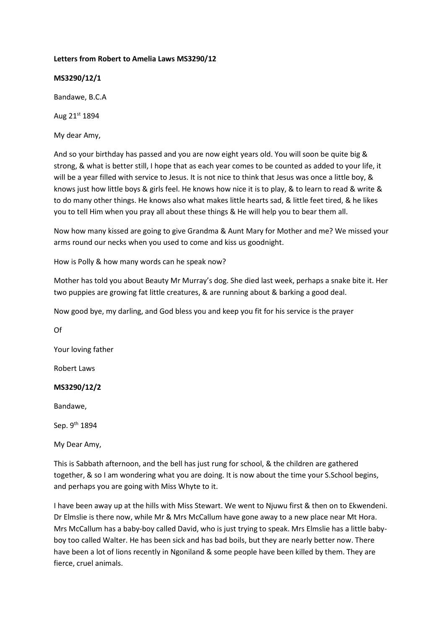# **Letters from Robert to Amelia Laws MS3290/12**

**MS3290/12/1**

Bandawe, B.C.A

Aug 21st 1894

My dear Amy,

And so your birthday has passed and you are now eight years old. You will soon be quite big & strong, & what is better still, I hope that as each year comes to be counted as added to your life, it will be a year filled with service to Jesus. It is not nice to think that Jesus was once a little boy, & knows just how little boys & girls feel. He knows how nice it is to play, & to learn to read & write & to do many other things. He knows also what makes little hearts sad, & little feet tired, & he likes you to tell Him when you pray all about these things & He will help you to bear them all.

Now how many kissed are going to give Grandma & Aunt Mary for Mother and me? We missed your arms round our necks when you used to come and kiss us goodnight.

How is Polly & how many words can he speak now?

Mother has told you about Beauty Mr Murray's dog. She died last week, perhaps a snake bite it. Her two puppies are growing fat little creatures, & are running about & barking a good deal.

Now good bye, my darling, and God bless you and keep you fit for his service is the prayer

Of

Your loving father

Robert Laws

# **MS3290/12/2**

Bandawe,

Sep. 9<sup>th</sup> 1894

My Dear Amy,

This is Sabbath afternoon, and the bell has just rung for school, & the children are gathered together, & so I am wondering what you are doing. It is now about the time your S.School begins, and perhaps you are going with Miss Whyte to it.

I have been away up at the hills with Miss Stewart. We went to Njuwu first & then on to Ekwendeni. Dr Elmslie is there now, while Mr & Mrs McCallum have gone away to a new place near Mt Hora. Mrs McCallum has a baby-boy called David, who is just trying to speak. Mrs Elmslie has a little babyboy too called Walter. He has been sick and has bad boils, but they are nearly better now. There have been a lot of lions recently in Ngoniland & some people have been killed by them. They are fierce, cruel animals.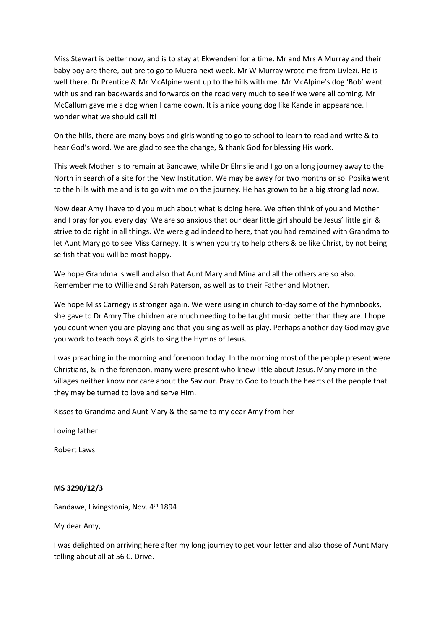Miss Stewart is better now, and is to stay at Ekwendeni for a time. Mr and Mrs A Murray and their baby boy are there, but are to go to Muera next week. Mr W Murray wrote me from Livlezi. He is well there. Dr Prentice & Mr McAlpine went up to the hills with me. Mr McAlpine's dog 'Bob' went with us and ran backwards and forwards on the road very much to see if we were all coming. Mr McCallum gave me a dog when I came down. It is a nice young dog like Kande in appearance. I wonder what we should call it!

On the hills, there are many boys and girls wanting to go to school to learn to read and write & to hear God's word. We are glad to see the change, & thank God for blessing His work.

This week Mother is to remain at Bandawe, while Dr Elmslie and I go on a long journey away to the North in search of a site for the New Institution. We may be away for two months or so. Posika went to the hills with me and is to go with me on the journey. He has grown to be a big strong lad now.

Now dear Amy I have told you much about what is doing here. We often think of you and Mother and I pray for you every day. We are so anxious that our dear little girl should be Jesus' little girl & strive to do right in all things. We were glad indeed to here, that you had remained with Grandma to let Aunt Mary go to see Miss Carnegy. It is when you try to help others & be like Christ, by not being selfish that you will be most happy.

We hope Grandma is well and also that Aunt Mary and Mina and all the others are so also. Remember me to Willie and Sarah Paterson, as well as to their Father and Mother.

We hope Miss Carnegy is stronger again. We were using in church to-day some of the hymnbooks, she gave to Dr Amry The children are much needing to be taught music better than they are. I hope you count when you are playing and that you sing as well as play. Perhaps another day God may give you work to teach boys & girls to sing the Hymns of Jesus.

I was preaching in the morning and forenoon today. In the morning most of the people present were Christians, & in the forenoon, many were present who knew little about Jesus. Many more in the villages neither know nor care about the Saviour. Pray to God to touch the hearts of the people that they may be turned to love and serve Him.

Kisses to Grandma and Aunt Mary & the same to my dear Amy from her

Loving father

Robert Laws

# **MS 3290/12/3**

Bandawe, Livingstonia, Nov. 4<sup>th</sup> 1894

My dear Amy,

I was delighted on arriving here after my long journey to get your letter and also those of Aunt Mary telling about all at 56 C. Drive.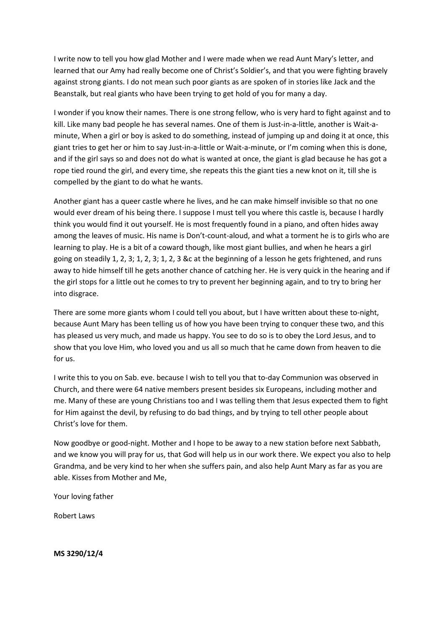I write now to tell you how glad Mother and I were made when we read Aunt Mary's letter, and learned that our Amy had really become one of Christ's Soldier's, and that you were fighting bravely against strong giants. I do not mean such poor giants as are spoken of in stories like Jack and the Beanstalk, but real giants who have been trying to get hold of you for many a day.

I wonder if you know their names. There is one strong fellow, who is very hard to fight against and to kill. Like many bad people he has several names. One of them is Just-in-a-little, another is Wait-aminute, When a girl or boy is asked to do something, instead of jumping up and doing it at once, this giant tries to get her or him to say Just-in-a-little or Wait-a-minute, or I'm coming when this is done, and if the girl says so and does not do what is wanted at once, the giant is glad because he has got a rope tied round the girl, and every time, she repeats this the giant ties a new knot on it, till she is compelled by the giant to do what he wants.

Another giant has a queer castle where he lives, and he can make himself invisible so that no one would ever dream of his being there. I suppose I must tell you where this castle is, because I hardly think you would find it out yourself. He is most frequently found in a piano, and often hides away among the leaves of music. His name is Don't-count-aloud, and what a torment he is to girls who are learning to play. He is a bit of a coward though, like most giant bullies, and when he hears a girl going on steadily 1, 2, 3; 1, 2, 3; 1, 2, 3 &c at the beginning of a lesson he gets frightened, and runs away to hide himself till he gets another chance of catching her. He is very quick in the hearing and if the girl stops for a little out he comes to try to prevent her beginning again, and to try to bring her into disgrace.

There are some more giants whom I could tell you about, but I have written about these to-night, because Aunt Mary has been telling us of how you have been trying to conquer these two, and this has pleased us very much, and made us happy. You see to do so is to obey the Lord Jesus, and to show that you love Him, who loved you and us all so much that he came down from heaven to die for us.

I write this to you on Sab. eve. because I wish to tell you that to-day Communion was observed in Church, and there were 64 native members present besides six Europeans, including mother and me. Many of these are young Christians too and I was telling them that Jesus expected them to fight for Him against the devil, by refusing to do bad things, and by trying to tell other people about Christ's love for them.

Now goodbye or good-night. Mother and I hope to be away to a new station before next Sabbath, and we know you will pray for us, that God will help us in our work there. We expect you also to help Grandma, and be very kind to her when she suffers pain, and also help Aunt Mary as far as you are able. Kisses from Mother and Me,

Your loving father

Robert Laws

**MS 3290/12/4**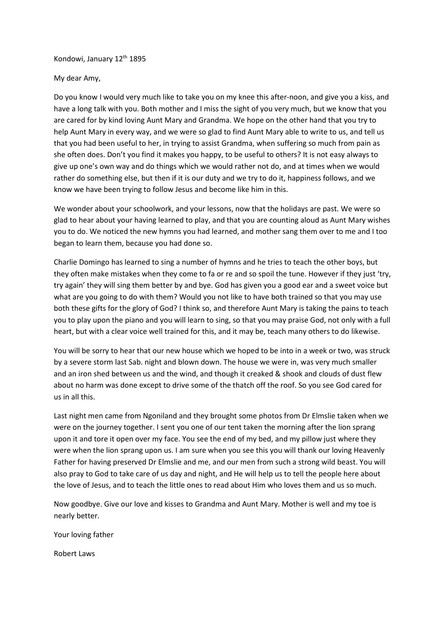Kondowi, January 12th 1895

My dear Amy,

Do you know I would very much like to take you on my knee this after-noon, and give you a kiss, and have a long talk with you. Both mother and I miss the sight of you very much, but we know that you are cared for by kind loving Aunt Mary and Grandma. We hope on the other hand that you try to help Aunt Mary in every way, and we were so glad to find Aunt Mary able to write to us, and tell us that you had been useful to her, in trying to assist Grandma, when suffering so much from pain as she often does. Don't you find it makes you happy, to be useful to others? It is not easy always to give up one's own way and do things which we would rather not do, and at times when we would rather do something else, but then if it is our duty and we try to do it, happiness follows, and we know we have been trying to follow Jesus and become like him in this.

We wonder about your schoolwork, and your lessons, now that the holidays are past. We were so glad to hear about your having learned to play, and that you are counting aloud as Aunt Mary wishes you to do. We noticed the new hymns you had learned, and mother sang them over to me and I too began to learn them, because you had done so.

Charlie Domingo has learned to sing a number of hymns and he tries to teach the other boys, but they often make mistakes when they come to fa or re and so spoil the tune. However if they just 'try, try again' they will sing them better by and bye. God has given you a good ear and a sweet voice but what are you going to do with them? Would you not like to have both trained so that you may use both these gifts for the glory of God? I think so, and therefore Aunt Mary is taking the pains to teach you to play upon the piano and you will learn to sing, so that you may praise God, not only with a full heart, but with a clear voice well trained for this, and it may be, teach many others to do likewise.

You will be sorry to hear that our new house which we hoped to be into in a week or two, was struck by a severe storm last Sab. night and blown down. The house we were in, was very much smaller and an iron shed between us and the wind, and though it creaked & shook and clouds of dust flew about no harm was done except to drive some of the thatch off the roof. So you see God cared for us in all this.

Last night men came from Ngoniland and they brought some photos from Dr Elmslie taken when we were on the journey together. I sent you one of our tent taken the morning after the lion sprang upon it and tore it open over my face. You see the end of my bed, and my pillow just where they were when the lion sprang upon us. I am sure when you see this you will thank our loving Heavenly Father for having preserved Dr Elmslie and me, and our men from such a strong wild beast. You will also pray to God to take care of us day and night, and He will help us to tell the people here about the love of Jesus, and to teach the little ones to read about Him who loves them and us so much.

Now goodbye. Give our love and kisses to Grandma and Aunt Mary. Mother is well and my toe is nearly better.

Your loving father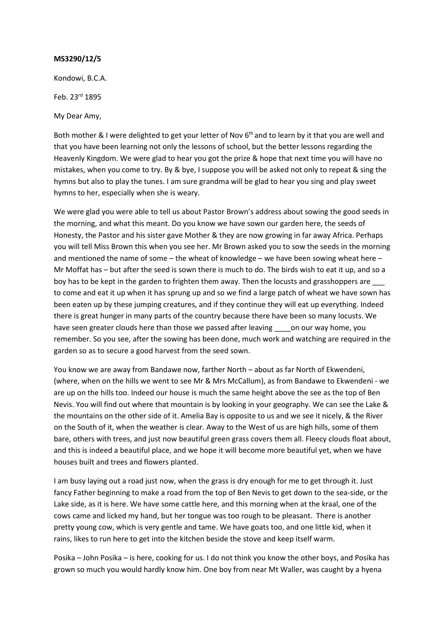Kondowi, B.C.A.

Feb. 23rd 1895

My Dear Amy,

Both mother & I were delighted to get your letter of Nov 6<sup>th</sup> and to learn by it that you are well and that you have been learning not only the lessons of school, but the better lessons regarding the Heavenly Kingdom. We were glad to hear you got the prize & hope that next time you will have no mistakes, when you come to try. By & bye, I suppose you will be asked not only to repeat & sing the hymns but also to play the tunes. I am sure grandma will be glad to hear you sing and play sweet hymns to her, especially when she is weary.

We were glad you were able to tell us about Pastor Brown's address about sowing the good seeds in the morning, and what this meant. Do you know we have sown our garden here, the seeds of Honesty, the Pastor and his sister gave Mother & they are now growing in far away Africa. Perhaps you will tell Miss Brown this when you see her. Mr Brown asked you to sow the seeds in the morning and mentioned the name of some – the wheat of knowledge – we have been sowing wheat here – Mr Moffat has – but after the seed is sown there is much to do. The birds wish to eat it up, and so a boy has to be kept in the garden to frighten them away. Then the locusts and grasshoppers are to come and eat it up when it has sprung up and so we find a large patch of wheat we have sown has been eaten up by these jumping creatures, and if they continue they will eat up everything. Indeed there is great hunger in many parts of the country because there have been so many locusts. We have seen greater clouds here than those we passed after leaving on our way home, you remember. So you see, after the sowing has been done, much work and watching are required in the garden so as to secure a good harvest from the seed sown.

You know we are away from Bandawe now, farther North – about as far North of Ekwendeni, (where, when on the hills we went to see Mr & Mrs McCallum), as from Bandawe to Ekwendeni - we are up on the hills too. Indeed our house is much the same height above the see as the top of Ben Nevis. You will find out where that mountain is by looking in your geography. We can see the Lake & the mountains on the other side of it. Amelia Bay is opposite to us and we see it nicely, & the River on the South of it, when the weather is clear. Away to the West of us are high hills, some of them bare, others with trees, and just now beautiful green grass covers them all. Fleecy clouds float about, and this is indeed a beautiful place, and we hope it will become more beautiful yet, when we have houses built and trees and flowers planted.

I am busy laying out a road just now, when the grass is dry enough for me to get through it. Just fancy Father beginning to make a road from the top of Ben Nevis to get down to the sea-side, or the Lake side, as it is here. We have some cattle here, and this morning when at the kraal, one of the cows came and licked my hand, but her tongue was too rough to be pleasant. There is another pretty young cow, which is very gentle and tame. We have goats too, and one little kid, when it rains, likes to run here to get into the kitchen beside the stove and keep itself warm.

Posika – John Posika – is here, cooking for us. I do not think you know the other boys, and Posika has grown so much you would hardly know him. One boy from near Mt Waller, was caught by a hyena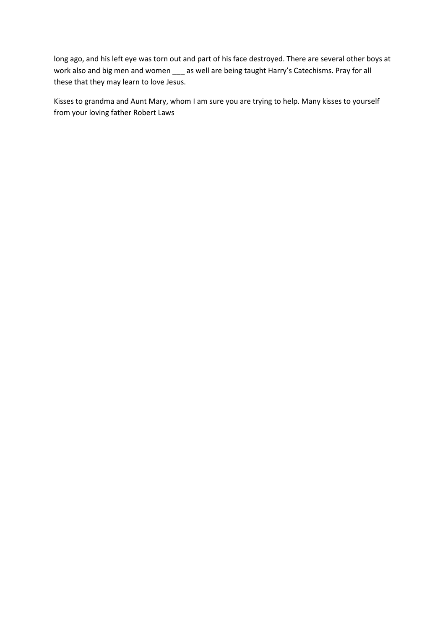long ago, and his left eye was torn out and part of his face destroyed. There are several other boys at work also and big men and women \_\_\_ as well are being taught Harry's Catechisms. Pray for all these that they may learn to love Jesus.

Kisses to grandma and Aunt Mary, whom I am sure you are trying to help. Many kisses to yourself from your loving father Robert Laws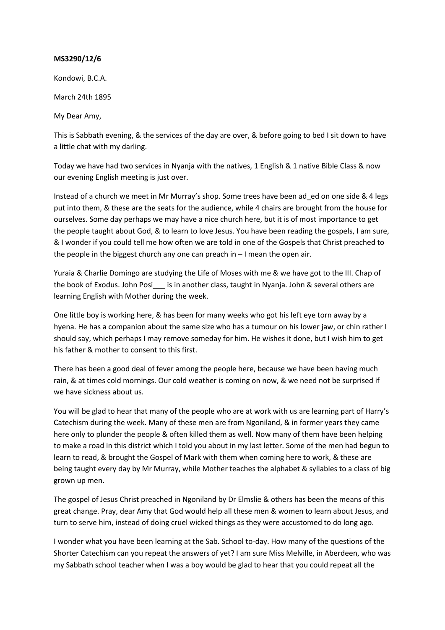Kondowi, B.C.A.

March 24th 1895

My Dear Amy,

This is Sabbath evening, & the services of the day are over, & before going to bed I sit down to have a little chat with my darling.

Today we have had two services in Nyanja with the natives, 1 English & 1 native Bible Class & now our evening English meeting is just over.

Instead of a church we meet in Mr Murray's shop. Some trees have been ad\_ed on one side & 4 legs put into them, & these are the seats for the audience, while 4 chairs are brought from the house for ourselves. Some day perhaps we may have a nice church here, but it is of most importance to get the people taught about God, & to learn to love Jesus. You have been reading the gospels, I am sure, & I wonder if you could tell me how often we are told in one of the Gospels that Christ preached to the people in the biggest church any one can preach in – I mean the open air.

Yuraia & Charlie Domingo are studying the Life of Moses with me & we have got to the III. Chap of the book of Exodus. John Posie is in another class, taught in Nyanja. John & several others are learning English with Mother during the week.

One little boy is working here, & has been for many weeks who got his left eye torn away by a hyena. He has a companion about the same size who has a tumour on his lower jaw, or chin rather I should say, which perhaps I may remove someday for him. He wishes it done, but I wish him to get his father & mother to consent to this first.

There has been a good deal of fever among the people here, because we have been having much rain, & at times cold mornings. Our cold weather is coming on now, & we need not be surprised if we have sickness about us.

You will be glad to hear that many of the people who are at work with us are learning part of Harry's Catechism during the week. Many of these men are from Ngoniland, & in former years they came here only to plunder the people & often killed them as well. Now many of them have been helping to make a road in this district which I told you about in my last letter. Some of the men had begun to learn to read, & brought the Gospel of Mark with them when coming here to work, & these are being taught every day by Mr Murray, while Mother teaches the alphabet & syllables to a class of big grown up men.

The gospel of Jesus Christ preached in Ngoniland by Dr Elmslie & others has been the means of this great change. Pray, dear Amy that God would help all these men & women to learn about Jesus, and turn to serve him, instead of doing cruel wicked things as they were accustomed to do long ago.

I wonder what you have been learning at the Sab. School to-day. How many of the questions of the Shorter Catechism can you repeat the answers of yet? I am sure Miss Melville, in Aberdeen, who was my Sabbath school teacher when I was a boy would be glad to hear that you could repeat all the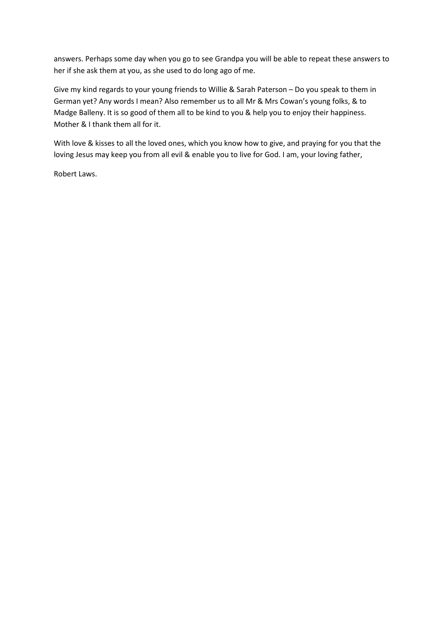answers. Perhaps some day when you go to see Grandpa you will be able to repeat these answers to her if she ask them at you, as she used to do long ago of me.

Give my kind regards to your young friends to Willie & Sarah Paterson – Do you speak to them in German yet? Any words I mean? Also remember us to all Mr & Mrs Cowan's young folks, & to Madge Balleny. It is so good of them all to be kind to you & help you to enjoy their happiness. Mother & I thank them all for it.

With love & kisses to all the loved ones, which you know how to give, and praying for you that the loving Jesus may keep you from all evil & enable you to live for God. I am, your loving father,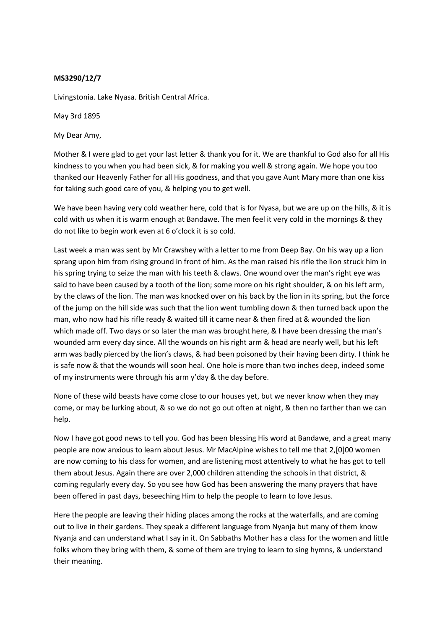Livingstonia. Lake Nyasa. British Central Africa.

May 3rd 1895

My Dear Amy,

Mother & I were glad to get your last letter & thank you for it. We are thankful to God also for all His kindness to you when you had been sick, & for making you well & strong again. We hope you too thanked our Heavenly Father for all His goodness, and that you gave Aunt Mary more than one kiss for taking such good care of you, & helping you to get well.

We have been having very cold weather here, cold that is for Nyasa, but we are up on the hills, & it is cold with us when it is warm enough at Bandawe. The men feel it very cold in the mornings & they do not like to begin work even at 6 o'clock it is so cold.

Last week a man was sent by Mr Crawshey with a letter to me from Deep Bay. On his way up a lion sprang upon him from rising ground in front of him. As the man raised his rifle the lion struck him in his spring trying to seize the man with his teeth & claws. One wound over the man's right eye was said to have been caused by a tooth of the lion; some more on his right shoulder, & on his left arm, by the claws of the lion. The man was knocked over on his back by the lion in its spring, but the force of the jump on the hill side was such that the lion went tumbling down & then turned back upon the man, who now had his rifle ready & waited till it came near & then fired at & wounded the lion which made off. Two days or so later the man was brought here, & I have been dressing the man's wounded arm every day since. All the wounds on his right arm & head are nearly well, but his left arm was badly pierced by the lion's claws, & had been poisoned by their having been dirty. I think he is safe now & that the wounds will soon heal. One hole is more than two inches deep, indeed some of my instruments were through his arm y'day & the day before.

None of these wild beasts have come close to our houses yet, but we never know when they may come, or may be lurking about, & so we do not go out often at night, & then no farther than we can help.

Now I have got good news to tell you. God has been blessing His word at Bandawe, and a great many people are now anxious to learn about Jesus. Mr MacAlpine wishes to tell me that 2,[0]00 women are now coming to his class for women, and are listening most attentively to what he has got to tell them about Jesus. Again there are over 2,000 children attending the schools in that district, & coming regularly every day. So you see how God has been answering the many prayers that have been offered in past days, beseeching Him to help the people to learn to love Jesus.

Here the people are leaving their hiding places among the rocks at the waterfalls, and are coming out to live in their gardens. They speak a different language from Nyanja but many of them know Nyanja and can understand what I say in it. On Sabbaths Mother has a class for the women and little folks whom they bring with them, & some of them are trying to learn to sing hymns, & understand their meaning.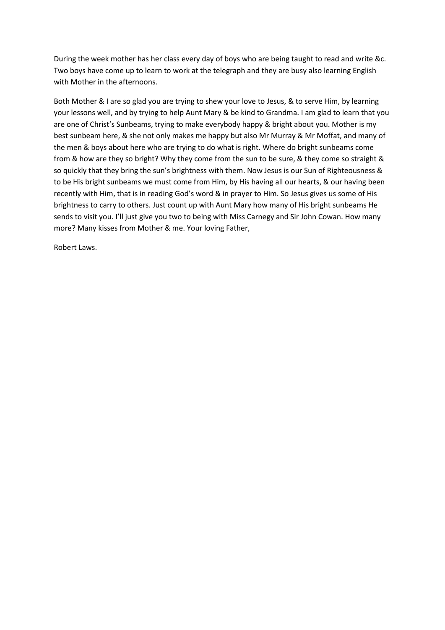During the week mother has her class every day of boys who are being taught to read and write &c. Two boys have come up to learn to work at the telegraph and they are busy also learning English with Mother in the afternoons.

Both Mother & I are so glad you are trying to shew your love to Jesus, & to serve Him, by learning your lessons well, and by trying to help Aunt Mary & be kind to Grandma. I am glad to learn that you are one of Christ's Sunbeams, trying to make everybody happy & bright about you. Mother is my best sunbeam here, & she not only makes me happy but also Mr Murray & Mr Moffat, and many of the men & boys about here who are trying to do what is right. Where do bright sunbeams come from & how are they so bright? Why they come from the sun to be sure, & they come so straight & so quickly that they bring the sun's brightness with them. Now Jesus is our Sun of Righteousness & to be His bright sunbeams we must come from Him, by His having all our hearts, & our having been recently with Him, that is in reading God's word & in prayer to Him. So Jesus gives us some of His brightness to carry to others. Just count up with Aunt Mary how many of His bright sunbeams He sends to visit you. I'll just give you two to being with Miss Carnegy and Sir John Cowan. How many more? Many kisses from Mother & me. Your loving Father,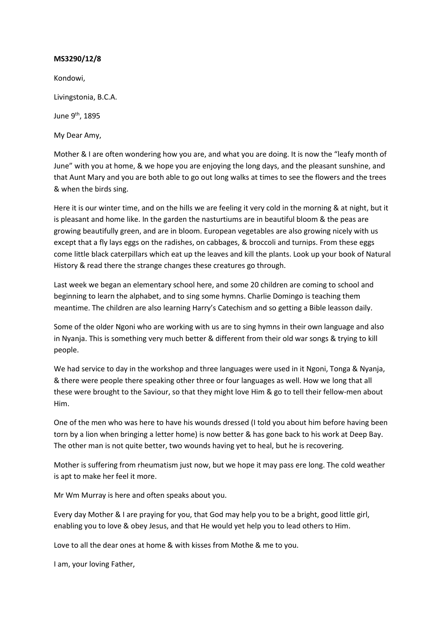Kondowi,

Livingstonia, B.C.A.

June 9th, 1895

My Dear Amy,

Mother & I are often wondering how you are, and what you are doing. It is now the "leafy month of June" with you at home, & we hope you are enjoying the long days, and the pleasant sunshine, and that Aunt Mary and you are both able to go out long walks at times to see the flowers and the trees & when the birds sing.

Here it is our winter time, and on the hills we are feeling it very cold in the morning & at night, but it is pleasant and home like. In the garden the nasturtiums are in beautiful bloom & the peas are growing beautifully green, and are in bloom. European vegetables are also growing nicely with us except that a fly lays eggs on the radishes, on cabbages, & broccoli and turnips. From these eggs come little black caterpillars which eat up the leaves and kill the plants. Look up your book of Natural History & read there the strange changes these creatures go through.

Last week we began an elementary school here, and some 20 children are coming to school and beginning to learn the alphabet, and to sing some hymns. Charlie Domingo is teaching them meantime. The children are also learning Harry's Catechism and so getting a Bible leasson daily.

Some of the older Ngoni who are working with us are to sing hymns in their own language and also in Nyanja. This is something very much better & different from their old war songs & trying to kill people.

We had service to day in the workshop and three languages were used in it Ngoni, Tonga & Nyanja, & there were people there speaking other three or four languages as well. How we long that all these were brought to the Saviour, so that they might love Him & go to tell their fellow-men about Him.

One of the men who was here to have his wounds dressed (I told you about him before having been torn by a lion when bringing a letter home) is now better & has gone back to his work at Deep Bay. The other man is not quite better, two wounds having yet to heal, but he is recovering.

Mother is suffering from rheumatism just now, but we hope it may pass ere long. The cold weather is apt to make her feel it more.

Mr Wm Murray is here and often speaks about you.

Every day Mother & I are praying for you, that God may help you to be a bright, good little girl, enabling you to love & obey Jesus, and that He would yet help you to lead others to Him.

Love to all the dear ones at home & with kisses from Mothe & me to you.

I am, your loving Father,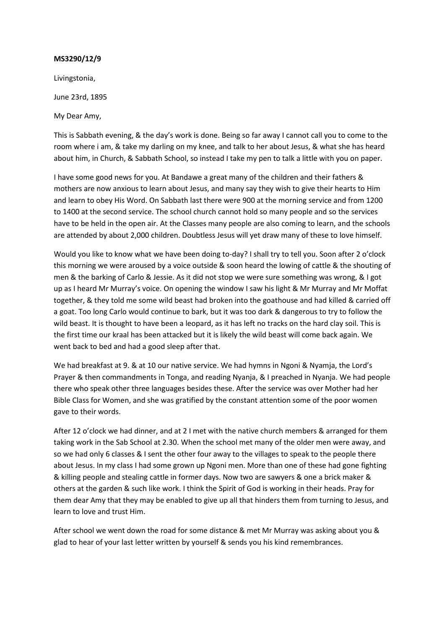Livingstonia,

June 23rd, 1895

My Dear Amy,

This is Sabbath evening, & the day's work is done. Being so far away I cannot call you to come to the room where i am, & take my darling on my knee, and talk to her about Jesus, & what she has heard about him, in Church, & Sabbath School, so instead I take my pen to talk a little with you on paper.

I have some good news for you. At Bandawe a great many of the children and their fathers & mothers are now anxious to learn about Jesus, and many say they wish to give their hearts to Him and learn to obey His Word. On Sabbath last there were 900 at the morning service and from 1200 to 1400 at the second service. The school church cannot hold so many people and so the services have to be held in the open air. At the Classes many people are also coming to learn, and the schools are attended by about 2,000 children. Doubtless Jesus will yet draw many of these to love himself.

Would you like to know what we have been doing to-day? I shall try to tell you. Soon after 2 o'clock this morning we were aroused by a voice outside & soon heard the lowing of cattle & the shouting of men & the barking of Carlo & Jessie. As it did not stop we were sure something was wrong, & I got up as I heard Mr Murray's voice. On opening the window I saw his light & Mr Murray and Mr Moffat together, & they told me some wild beast had broken into the goathouse and had killed & carried off a goat. Too long Carlo would continue to bark, but it was too dark & dangerous to try to follow the wild beast. It is thought to have been a leopard, as it has left no tracks on the hard clay soil. This is the first time our kraal has been attacked but it is likely the wild beast will come back again. We went back to bed and had a good sleep after that.

We had breakfast at 9. & at 10 our native service. We had hymns in Ngoni & Nyamja, the Lord's Prayer & then commandments in Tonga, and reading Nyanja, & I preached in Nyanja. We had people there who speak other three languages besides these. After the service was over Mother had her Bible Class for Women, and she was gratified by the constant attention some of the poor women gave to their words.

After 12 o'clock we had dinner, and at 2 I met with the native church members & arranged for them taking work in the Sab School at 2.30. When the school met many of the older men were away, and so we had only 6 classes & I sent the other four away to the villages to speak to the people there about Jesus. In my class I had some grown up Ngoni men. More than one of these had gone fighting & killing people and stealing cattle in former days. Now two are sawyers & one a brick maker & others at the garden & such like work. I think the Spirit of God is working in their heads. Pray for them dear Amy that they may be enabled to give up all that hinders them from turning to Jesus, and learn to love and trust Him.

After school we went down the road for some distance & met Mr Murray was asking about you & glad to hear of your last letter written by yourself & sends you his kind remembrances.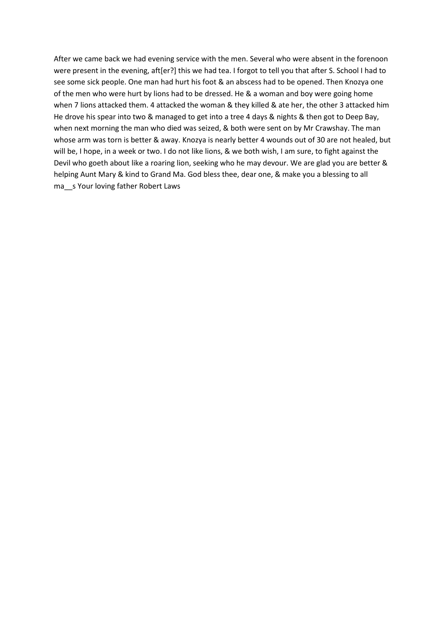After we came back we had evening service with the men. Several who were absent in the forenoon were present in the evening, aft[er?] this we had tea. I forgot to tell you that after S. School I had to see some sick people. One man had hurt his foot & an abscess had to be opened. Then Knozya one of the men who were hurt by lions had to be dressed. He & a woman and boy were going home when 7 lions attacked them. 4 attacked the woman & they killed & ate her, the other 3 attacked him He drove his spear into two & managed to get into a tree 4 days & nights & then got to Deep Bay, when next morning the man who died was seized, & both were sent on by Mr Crawshay. The man whose arm was torn is better & away. Knozya is nearly better 4 wounds out of 30 are not healed, but will be, I hope, in a week or two. I do not like lions, & we both wish, I am sure, to fight against the Devil who goeth about like a roaring lion, seeking who he may devour. We are glad you are better & helping Aunt Mary & kind to Grand Ma. God bless thee, dear one, & make you a blessing to all ma s Your loving father Robert Laws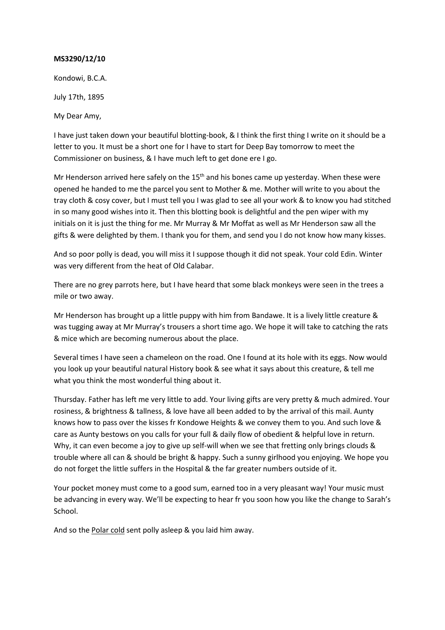Kondowi, B.C.A.

July 17th, 1895

My Dear Amy,

I have just taken down your beautiful blotting-book, & I think the first thing I write on it should be a letter to you. It must be a short one for I have to start for Deep Bay tomorrow to meet the Commissioner on business, & I have much left to get done ere I go.

Mr Henderson arrived here safely on the  $15<sup>th</sup>$  and his bones came up yesterday. When these were opened he handed to me the parcel you sent to Mother & me. Mother will write to you about the tray cloth & cosy cover, but I must tell you I was glad to see all your work & to know you had stitched in so many good wishes into it. Then this blotting book is delightful and the pen wiper with my initials on it is just the thing for me. Mr Murray & Mr Moffat as well as Mr Henderson saw all the gifts & were delighted by them. I thank you for them, and send you I do not know how many kisses.

And so poor polly is dead, you will miss it I suppose though it did not speak. Your cold Edin. Winter was very different from the heat of Old Calabar.

There are no grey parrots here, but I have heard that some black monkeys were seen in the trees a mile or two away.

Mr Henderson has brought up a little puppy with him from Bandawe. It is a lively little creature & was tugging away at Mr Murray's trousers a short time ago. We hope it will take to catching the rats & mice which are becoming numerous about the place.

Several times I have seen a chameleon on the road. One I found at its hole with its eggs. Now would you look up your beautiful natural History book & see what it says about this creature, & tell me what you think the most wonderful thing about it.

Thursday. Father has left me very little to add. Your living gifts are very pretty & much admired. Your rosiness, & brightness & tallness, & love have all been added to by the arrival of this mail. Aunty knows how to pass over the kisses fr Kondowe Heights & we convey them to you. And such love & care as Aunty bestows on you calls for your full & daily flow of obedient & helpful love in return. Why, it can even become a joy to give up self-will when we see that fretting only brings clouds & trouble where all can & should be bright & happy. Such a sunny girlhood you enjoying. We hope you do not forget the little suffers in the Hospital & the far greater numbers outside of it.

Your pocket money must come to a good sum, earned too in a very pleasant way! Your music must be advancing in every way. We'll be expecting to hear fr you soon how you like the change to Sarah's School.

And so the Polar cold sent polly asleep & you laid him away.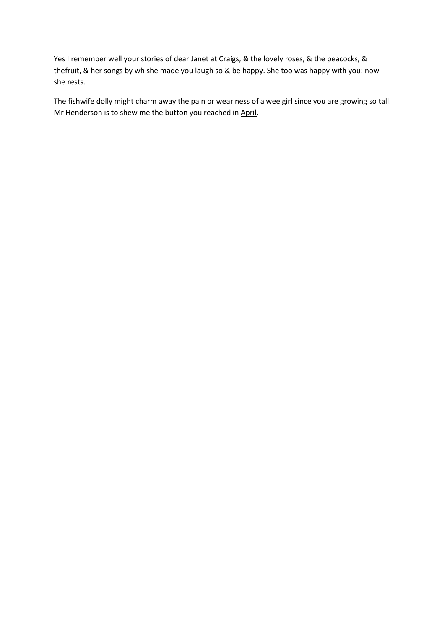Yes I remember well your stories of dear Janet at Craigs, & the lovely roses, & the peacocks, & thefruit, & her songs by wh she made you laugh so & be happy. She too was happy with you: now she rests.

The fishwife dolly might charm away the pain or weariness of a wee girl since you are growing so tall. Mr Henderson is to shew me the button you reached in April.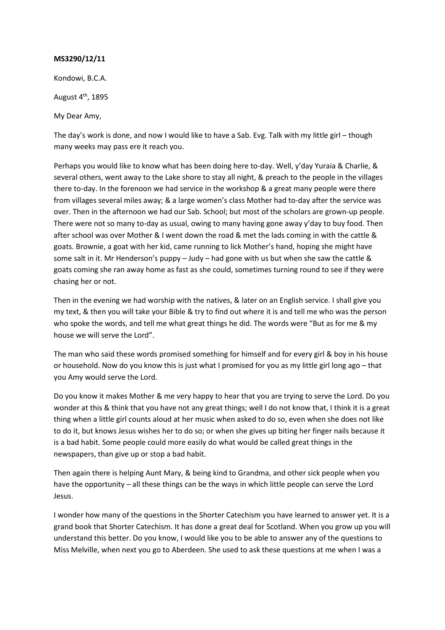Kondowi, B.C.A.

August  $4<sup>th</sup>$ , 1895

My Dear Amy,

The day's work is done, and now I would like to have a Sab. Evg. Talk with my little girl – though many weeks may pass ere it reach you.

Perhaps you would like to know what has been doing here to-day. Well, y'day Yuraia & Charlie, & several others, went away to the Lake shore to stay all night, & preach to the people in the villages there to-day. In the forenoon we had service in the workshop & a great many people were there from villages several miles away; & a large women's class Mother had to-day after the service was over. Then in the afternoon we had our Sab. School; but most of the scholars are grown-up people. There were not so many to-day as usual, owing to many having gone away y'day to buy food. Then after school was over Mother & I went down the road & met the lads coming in with the cattle & goats. Brownie, a goat with her kid, came running to lick Mother's hand, hoping she might have some salt in it. Mr Henderson's puppy – Judy – had gone with us but when she saw the cattle & goats coming she ran away home as fast as she could, sometimes turning round to see if they were chasing her or not.

Then in the evening we had worship with the natives, & later on an English service. I shall give you my text, & then you will take your Bible & try to find out where it is and tell me who was the person who spoke the words, and tell me what great things he did. The words were "But as for me & my house we will serve the Lord".

The man who said these words promised something for himself and for every girl & boy in his house or household. Now do you know this is just what I promised for you as my little girl long ago – that you Amy would serve the Lord.

Do you know it makes Mother & me very happy to hear that you are trying to serve the Lord. Do you wonder at this & think that you have not any great things; well I do not know that, I think it is a great thing when a little girl counts aloud at her music when asked to do so, even when she does not like to do it, but knows Jesus wishes her to do so; or when she gives up biting her finger nails because it is a bad habit. Some people could more easily do what would be called great things in the newspapers, than give up or stop a bad habit.

Then again there is helping Aunt Mary, & being kind to Grandma, and other sick people when you have the opportunity – all these things can be the ways in which little people can serve the Lord Jesus.

I wonder how many of the questions in the Shorter Catechism you have learned to answer yet. It is a grand book that Shorter Catechism. It has done a great deal for Scotland. When you grow up you will understand this better. Do you know, I would like you to be able to answer any of the questions to Miss Melville, when next you go to Aberdeen. She used to ask these questions at me when I was a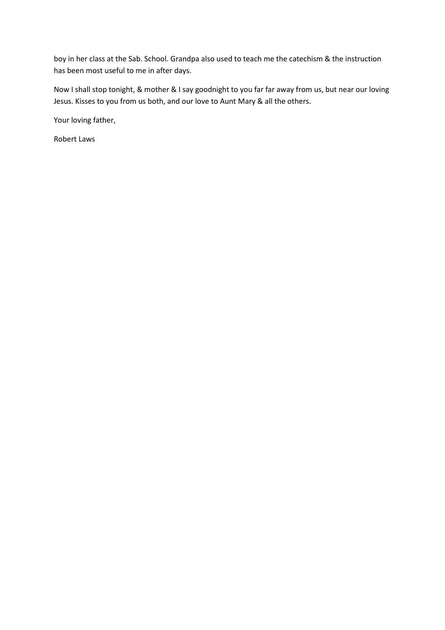boy in her class at the Sab. School. Grandpa also used to teach me the catechism & the instruction has been most useful to me in after days.

Now I shall stop tonight, & mother & I say goodnight to you far far away from us, but near our loving Jesus. Kisses to you from us both, and our love to Aunt Mary & all the others.

Your loving father,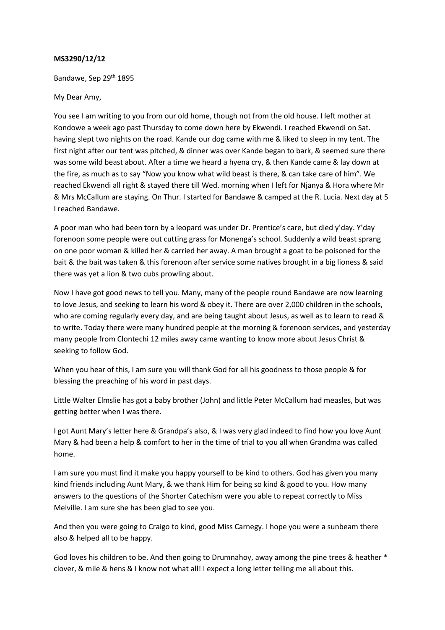Bandawe, Sep 29th 1895

# My Dear Amy,

You see I am writing to you from our old home, though not from the old house. I left mother at Kondowe a week ago past Thursday to come down here by Ekwendi. I reached Ekwendi on Sat. having slept two nights on the road. Kande our dog came with me & liked to sleep in my tent. The first night after our tent was pitched, & dinner was over Kande began to bark, & seemed sure there was some wild beast about. After a time we heard a hyena cry, & then Kande came & lay down at the fire, as much as to say "Now you know what wild beast is there, & can take care of him". We reached Ekwendi all right & stayed there till Wed. morning when I left for Njanya & Hora where Mr & Mrs McCallum are staying. On Thur. I started for Bandawe & camped at the R. Lucia. Next day at 5 I reached Bandawe.

A poor man who had been torn by a leopard was under Dr. Prentice's care, but died y'day. Y'day forenoon some people were out cutting grass for Monenga's school. Suddenly a wild beast sprang on one poor woman & killed her & carried her away. A man brought a goat to be poisoned for the bait & the bait was taken & this forenoon after service some natives brought in a big lioness & said there was yet a lion & two cubs prowling about.

Now I have got good news to tell you. Many, many of the people round Bandawe are now learning to love Jesus, and seeking to learn his word & obey it. There are over 2,000 children in the schools, who are coming regularly every day, and are being taught about Jesus, as well as to learn to read & to write. Today there were many hundred people at the morning & forenoon services, and yesterday many people from Clontechi 12 miles away came wanting to know more about Jesus Christ & seeking to follow God.

When you hear of this, I am sure you will thank God for all his goodness to those people & for blessing the preaching of his word in past days.

Little Walter Elmslie has got a baby brother (John) and little Peter McCallum had measles, but was getting better when I was there.

I got Aunt Mary's letter here & Grandpa's also, & I was very glad indeed to find how you love Aunt Mary & had been a help & comfort to her in the time of trial to you all when Grandma was called home.

I am sure you must find it make you happy yourself to be kind to others. God has given you many kind friends including Aunt Mary, & we thank Him for being so kind & good to you. How many answers to the questions of the Shorter Catechism were you able to repeat correctly to Miss Melville. I am sure she has been glad to see you.

And then you were going to Craigo to kind, good Miss Carnegy. I hope you were a sunbeam there also & helped all to be happy.

God loves his children to be. And then going to Drumnahoy, away among the pine trees & heather \* clover, & mile & hens & I know not what all! I expect a long letter telling me all about this.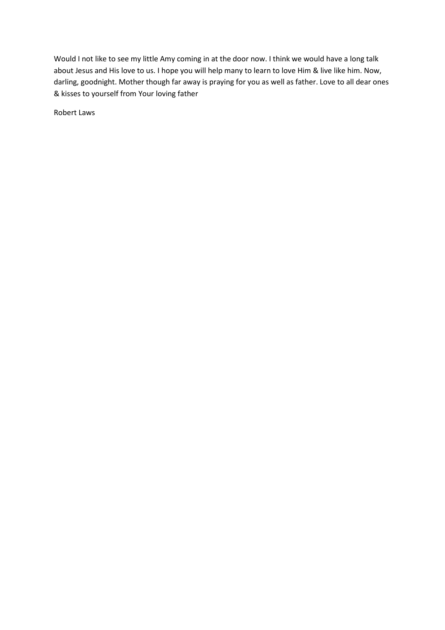Would I not like to see my little Amy coming in at the door now. I think we would have a long talk about Jesus and His love to us. I hope you will help many to learn to love Him & live like him. Now, darling, goodnight. Mother though far away is praying for you as well as father. Love to all dear ones & kisses to yourself from Your loving father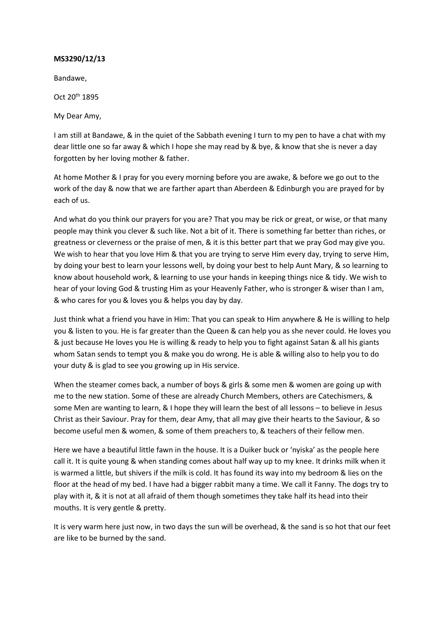Bandawe,

Oct 20th 1895

My Dear Amy,

I am still at Bandawe, & in the quiet of the Sabbath evening I turn to my pen to have a chat with my dear little one so far away & which I hope she may read by & bye, & know that she is never a day forgotten by her loving mother & father.

At home Mother & I pray for you every morning before you are awake, & before we go out to the work of the day & now that we are farther apart than Aberdeen & Edinburgh you are prayed for by each of us.

And what do you think our prayers for you are? That you may be rick or great, or wise, or that many people may think you clever & such like. Not a bit of it. There is something far better than riches, or greatness or cleverness or the praise of men, & it is this better part that we pray God may give you. We wish to hear that you love Him & that you are trying to serve Him every day, trying to serve Him, by doing your best to learn your lessons well, by doing your best to help Aunt Mary, & so learning to know about household work, & learning to use your hands in keeping things nice & tidy. We wish to hear of your loving God & trusting Him as your Heavenly Father, who is stronger & wiser than I am, & who cares for you & loves you & helps you day by day.

Just think what a friend you have in Him: That you can speak to Him anywhere & He is willing to help you & listen to you. He is far greater than the Queen & can help you as she never could. He loves you & just because He loves you He is willing & ready to help you to fight against Satan & all his giants whom Satan sends to tempt you & make you do wrong. He is able & willing also to help you to do your duty & is glad to see you growing up in His service.

When the steamer comes back, a number of boys & girls & some men & women are going up with me to the new station. Some of these are already Church Members, others are Catechismers, & some Men are wanting to learn, & I hope they will learn the best of all lessons – to believe in Jesus Christ as their Saviour. Pray for them, dear Amy, that all may give their hearts to the Saviour, & so become useful men & women, & some of them preachers to, & teachers of their fellow men.

Here we have a beautiful little fawn in the house. It is a Duiker buck or 'nyiska' as the people here call it. It is quite young & when standing comes about half way up to my knee. It drinks milk when it is warmed a little, but shivers if the milk is cold. It has found its way into my bedroom & lies on the floor at the head of my bed. I have had a bigger rabbit many a time. We call it Fanny. The dogs try to play with it, & it is not at all afraid of them though sometimes they take half its head into their mouths. It is very gentle & pretty.

It is very warm here just now, in two days the sun will be overhead, & the sand is so hot that our feet are like to be burned by the sand.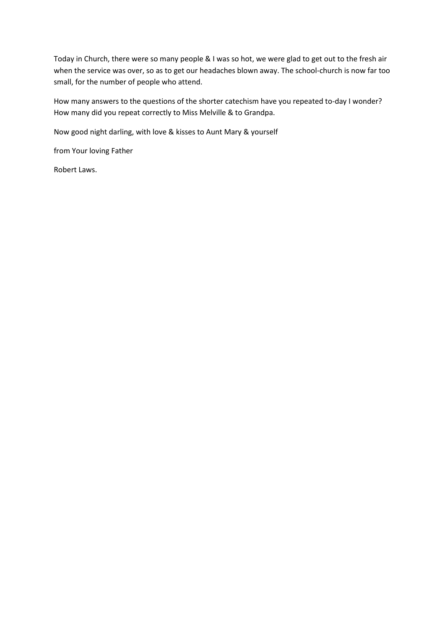Today in Church, there were so many people & I was so hot, we were glad to get out to the fresh air when the service was over, so as to get our headaches blown away. The school-church is now far too small, for the number of people who attend.

How many answers to the questions of the shorter catechism have you repeated to-day I wonder? How many did you repeat correctly to Miss Melville & to Grandpa.

Now good night darling, with love & kisses to Aunt Mary & yourself

from Your loving Father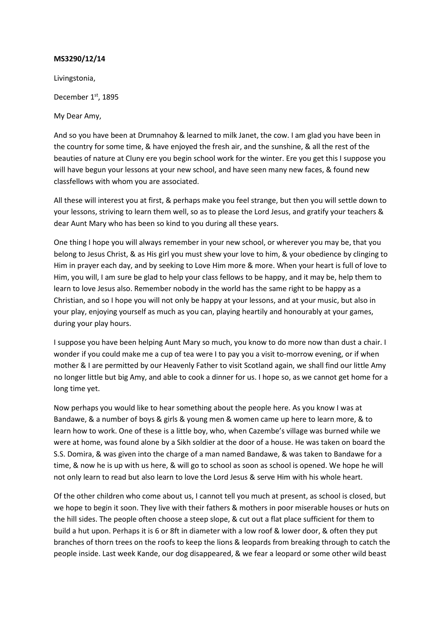Livingstonia,

December 1<sup>st</sup>, 1895

My Dear Amy,

And so you have been at Drumnahoy & learned to milk Janet, the cow. I am glad you have been in the country for some time, & have enjoyed the fresh air, and the sunshine, & all the rest of the beauties of nature at Cluny ere you begin school work for the winter. Ere you get this I suppose you will have begun your lessons at your new school, and have seen many new faces, & found new classfellows with whom you are associated.

All these will interest you at first, & perhaps make you feel strange, but then you will settle down to your lessons, striving to learn them well, so as to please the Lord Jesus, and gratify your teachers & dear Aunt Mary who has been so kind to you during all these years.

One thing I hope you will always remember in your new school, or wherever you may be, that you belong to Jesus Christ, & as His girl you must shew your love to him, & your obedience by clinging to Him in prayer each day, and by seeking to Love Him more & more. When your heart is full of love to Him, you will, I am sure be glad to help your class fellows to be happy, and it may be, help them to learn to love Jesus also. Remember nobody in the world has the same right to be happy as a Christian, and so I hope you will not only be happy at your lessons, and at your music, but also in your play, enjoying yourself as much as you can, playing heartily and honourably at your games, during your play hours.

I suppose you have been helping Aunt Mary so much, you know to do more now than dust a chair. I wonder if you could make me a cup of tea were I to pay you a visit to-morrow evening, or if when mother & I are permitted by our Heavenly Father to visit Scotland again, we shall find our little Amy no longer little but big Amy, and able to cook a dinner for us. I hope so, as we cannot get home for a long time yet.

Now perhaps you would like to hear something about the people here. As you know I was at Bandawe, & a number of boys & girls & young men & women came up here to learn more, & to learn how to work. One of these is a little boy, who, when Cazembe's village was burned while we were at home, was found alone by a Sikh soldier at the door of a house. He was taken on board the S.S. Domira, & was given into the charge of a man named Bandawe, & was taken to Bandawe for a time, & now he is up with us here, & will go to school as soon as school is opened. We hope he will not only learn to read but also learn to love the Lord Jesus & serve Him with his whole heart.

Of the other children who come about us, I cannot tell you much at present, as school is closed, but we hope to begin it soon. They live with their fathers & mothers in poor miserable houses or huts on the hill sides. The people often choose a steep slope, & cut out a flat place sufficient for them to build a hut upon. Perhaps it is 6 or 8ft in diameter with a low roof & lower door, & often they put branches of thorn trees on the roofs to keep the lions & leopards from breaking through to catch the people inside. Last week Kande, our dog disappeared, & we fear a leopard or some other wild beast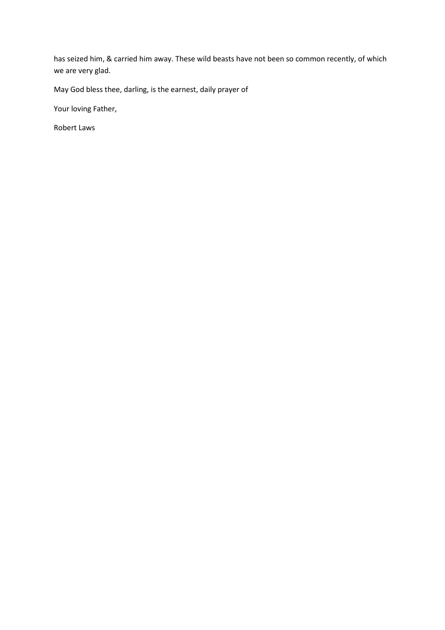has seized him, & carried him away. These wild beasts have not been so common recently, of which we are very glad.

May God bless thee, darling, is the earnest, daily prayer of

Your loving Father,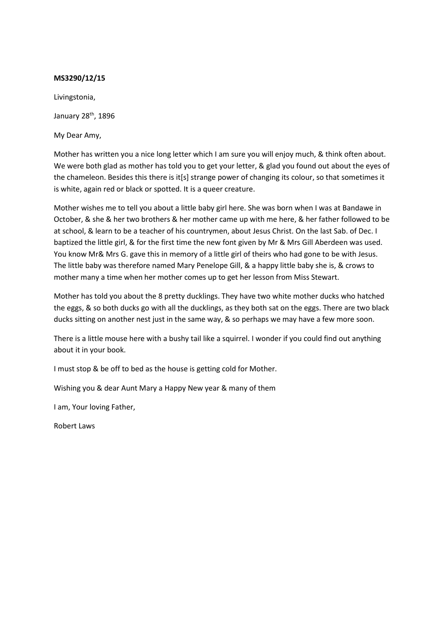Livingstonia,

January 28<sup>th</sup>, 1896

My Dear Amy,

Mother has written you a nice long letter which I am sure you will enjoy much, & think often about. We were both glad as mother has told you to get your letter, & glad you found out about the eyes of the chameleon. Besides this there is it[s] strange power of changing its colour, so that sometimes it is white, again red or black or spotted. It is a queer creature.

Mother wishes me to tell you about a little baby girl here. She was born when I was at Bandawe in October, & she & her two brothers & her mother came up with me here, & her father followed to be at school, & learn to be a teacher of his countrymen, about Jesus Christ. On the last Sab. of Dec. I baptized the little girl, & for the first time the new font given by Mr & Mrs Gill Aberdeen was used. You know Mr& Mrs G. gave this in memory of a little girl of theirs who had gone to be with Jesus. The little baby was therefore named Mary Penelope Gill, & a happy little baby she is, & crows to mother many a time when her mother comes up to get her lesson from Miss Stewart.

Mother has told you about the 8 pretty ducklings. They have two white mother ducks who hatched the eggs, & so both ducks go with all the ducklings, as they both sat on the eggs. There are two black ducks sitting on another nest just in the same way, & so perhaps we may have a few more soon.

There is a little mouse here with a bushy tail like a squirrel. I wonder if you could find out anything about it in your book.

I must stop & be off to bed as the house is getting cold for Mother.

Wishing you & dear Aunt Mary a Happy New year & many of them

I am, Your loving Father,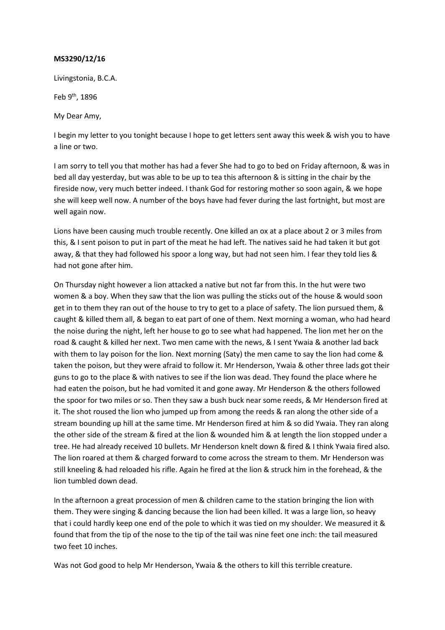Livingstonia, B.C.A.

Feb 9th, 1896

My Dear Amy,

I begin my letter to you tonight because I hope to get letters sent away this week & wish you to have a line or two.

I am sorry to tell you that mother has had a fever She had to go to bed on Friday afternoon, & was in bed all day yesterday, but was able to be up to tea this afternoon & is sitting in the chair by the fireside now, very much better indeed. I thank God for restoring mother so soon again, & we hope she will keep well now. A number of the boys have had fever during the last fortnight, but most are well again now.

Lions have been causing much trouble recently. One killed an ox at a place about 2 or 3 miles from this, & I sent poison to put in part of the meat he had left. The natives said he had taken it but got away, & that they had followed his spoor a long way, but had not seen him. I fear they told lies & had not gone after him.

On Thursday night however a lion attacked a native but not far from this. In the hut were two women & a boy. When they saw that the lion was pulling the sticks out of the house & would soon get in to them they ran out of the house to try to get to a place of safety. The lion pursued them, & caught & killed them all, & began to eat part of one of them. Next morning a woman, who had heard the noise during the night, left her house to go to see what had happened. The lion met her on the road & caught & killed her next. Two men came with the news, & I sent Ywaia & another lad back with them to lay poison for the lion. Next morning (Saty) the men came to say the lion had come & taken the poison, but they were afraid to follow it. Mr Henderson, Ywaia & other three lads got their guns to go to the place & with natives to see if the lion was dead. They found the place where he had eaten the poison, but he had vomited it and gone away. Mr Henderson & the others followed the spoor for two miles or so. Then they saw a bush buck near some reeds, & Mr Henderson fired at it. The shot roused the lion who jumped up from among the reeds & ran along the other side of a stream bounding up hill at the same time. Mr Henderson fired at him & so did Ywaia. They ran along the other side of the stream & fired at the lion & wounded him & at length the lion stopped under a tree. He had already received 10 bullets. Mr Henderson knelt down & fired & I think Ywaia fired also. The lion roared at them & charged forward to come across the stream to them. Mr Henderson was still kneeling & had reloaded his rifle. Again he fired at the lion & struck him in the forehead, & the lion tumbled down dead.

In the afternoon a great procession of men & children came to the station bringing the lion with them. They were singing & dancing because the lion had been killed. It was a large lion, so heavy that i could hardly keep one end of the pole to which it was tied on my shoulder. We measured it & found that from the tip of the nose to the tip of the tail was nine feet one inch: the tail measured two feet 10 inches.

Was not God good to help Mr Henderson, Ywaia & the others to kill this terrible creature.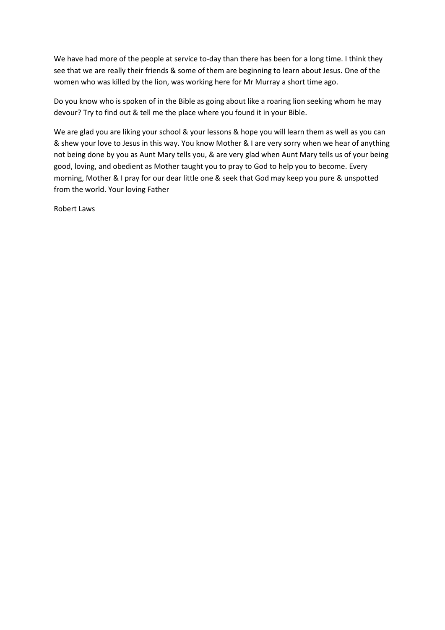We have had more of the people at service to-day than there has been for a long time. I think they see that we are really their friends & some of them are beginning to learn about Jesus. One of the women who was killed by the lion, was working here for Mr Murray a short time ago.

Do you know who is spoken of in the Bible as going about like a roaring lion seeking whom he may devour? Try to find out & tell me the place where you found it in your Bible.

We are glad you are liking your school & your lessons & hope you will learn them as well as you can & shew your love to Jesus in this way. You know Mother & I are very sorry when we hear of anything not being done by you as Aunt Mary tells you, & are very glad when Aunt Mary tells us of your being good, loving, and obedient as Mother taught you to pray to God to help you to become. Every morning, Mother & I pray for our dear little one & seek that God may keep you pure & unspotted from the world. Your loving Father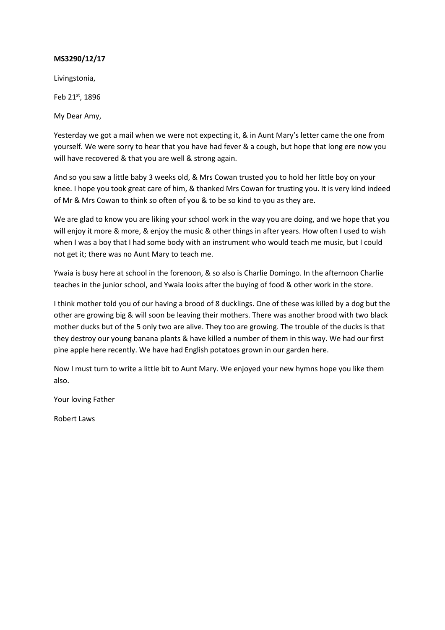Livingstonia,

Feb 21st, 1896

My Dear Amy,

Yesterday we got a mail when we were not expecting it, & in Aunt Mary's letter came the one from yourself. We were sorry to hear that you have had fever & a cough, but hope that long ere now you will have recovered & that you are well & strong again.

And so you saw a little baby 3 weeks old, & Mrs Cowan trusted you to hold her little boy on your knee. I hope you took great care of him, & thanked Mrs Cowan for trusting you. It is very kind indeed of Mr & Mrs Cowan to think so often of you & to be so kind to you as they are.

We are glad to know you are liking your school work in the way you are doing, and we hope that you will enjoy it more & more, & enjoy the music & other things in after years. How often I used to wish when I was a boy that I had some body with an instrument who would teach me music, but I could not get it; there was no Aunt Mary to teach me.

Ywaia is busy here at school in the forenoon, & so also is Charlie Domingo. In the afternoon Charlie teaches in the junior school, and Ywaia looks after the buying of food & other work in the store.

I think mother told you of our having a brood of 8 ducklings. One of these was killed by a dog but the other are growing big & will soon be leaving their mothers. There was another brood with two black mother ducks but of the 5 only two are alive. They too are growing. The trouble of the ducks is that they destroy our young banana plants & have killed a number of them in this way. We had our first pine apple here recently. We have had English potatoes grown in our garden here.

Now I must turn to write a little bit to Aunt Mary. We enjoyed your new hymns hope you like them also.

Your loving Father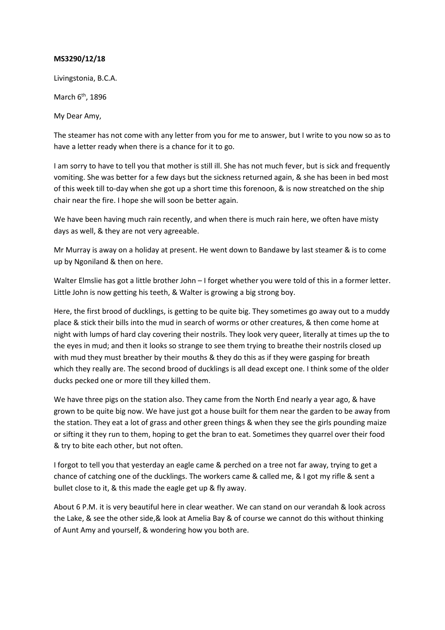Livingstonia, B.C.A.

March  $6<sup>th</sup>$ , 1896

My Dear Amy,

The steamer has not come with any letter from you for me to answer, but I write to you now so as to have a letter ready when there is a chance for it to go.

I am sorry to have to tell you that mother is still ill. She has not much fever, but is sick and frequently vomiting. She was better for a few days but the sickness returned again, & she has been in bed most of this week till to-day when she got up a short time this forenoon, & is now streatched on the ship chair near the fire. I hope she will soon be better again.

We have been having much rain recently, and when there is much rain here, we often have misty days as well, & they are not very agreeable.

Mr Murray is away on a holiday at present. He went down to Bandawe by last steamer & is to come up by Ngoniland & then on here.

Walter Elmslie has got a little brother John – I forget whether you were told of this in a former letter. Little John is now getting his teeth, & Walter is growing a big strong boy.

Here, the first brood of ducklings, is getting to be quite big. They sometimes go away out to a muddy place & stick their bills into the mud in search of worms or other creatures, & then come home at night with lumps of hard clay covering their nostrils. They look very queer, literally at times up the to the eyes in mud; and then it looks so strange to see them trying to breathe their nostrils closed up with mud they must breather by their mouths & they do this as if they were gasping for breath which they really are. The second brood of ducklings is all dead except one. I think some of the older ducks pecked one or more till they killed them.

We have three pigs on the station also. They came from the North End nearly a year ago, & have grown to be quite big now. We have just got a house built for them near the garden to be away from the station. They eat a lot of grass and other green things & when they see the girls pounding maize or sifting it they run to them, hoping to get the bran to eat. Sometimes they quarrel over their food & try to bite each other, but not often.

I forgot to tell you that yesterday an eagle came & perched on a tree not far away, trying to get a chance of catching one of the ducklings. The workers came & called me, & I got my rifle & sent a bullet close to it, & this made the eagle get up & fly away.

About 6 P.M. it is very beautiful here in clear weather. We can stand on our verandah & look across the Lake, & see the other side,& look at Amelia Bay & of course we cannot do this without thinking of Aunt Amy and yourself, & wondering how you both are.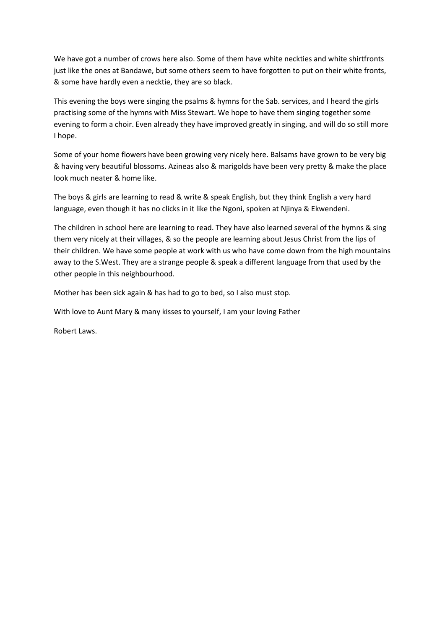We have got a number of crows here also. Some of them have white neckties and white shirtfronts just like the ones at Bandawe, but some others seem to have forgotten to put on their white fronts, & some have hardly even a necktie, they are so black.

This evening the boys were singing the psalms & hymns for the Sab. services, and I heard the girls practising some of the hymns with Miss Stewart. We hope to have them singing together some evening to form a choir. Even already they have improved greatly in singing, and will do so still more I hope.

Some of your home flowers have been growing very nicely here. Balsams have grown to be very big & having very beautiful blossoms. Azineas also & marigolds have been very pretty & make the place look much neater & home like.

The boys & girls are learning to read & write & speak English, but they think English a very hard language, even though it has no clicks in it like the Ngoni, spoken at Njinya & Ekwendeni.

The children in school here are learning to read. They have also learned several of the hymns & sing them very nicely at their villages, & so the people are learning about Jesus Christ from the lips of their children. We have some people at work with us who have come down from the high mountains away to the S.West. They are a strange people & speak a different language from that used by the other people in this neighbourhood.

Mother has been sick again & has had to go to bed, so I also must stop.

With love to Aunt Mary & many kisses to yourself, I am your loving Father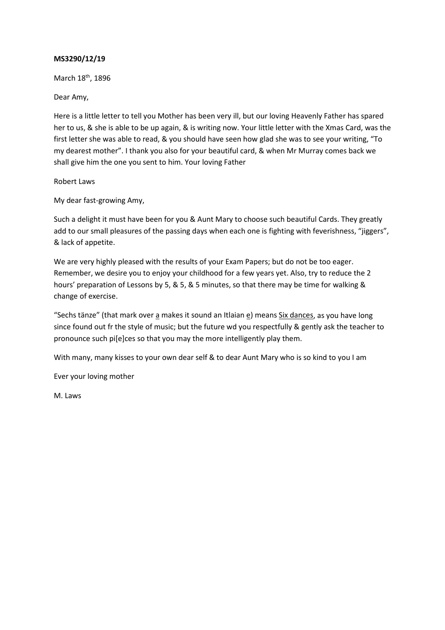March 18<sup>th</sup>, 1896

Dear Amy,

Here is a little letter to tell you Mother has been very ill, but our loving Heavenly Father has spared her to us, & she is able to be up again, & is writing now. Your little letter with the Xmas Card, was the first letter she was able to read, & you should have seen how glad she was to see your writing, "To my dearest mother". I thank you also for your beautiful card, & when Mr Murray comes back we shall give him the one you sent to him. Your loving Father

Robert Laws

My dear fast-growing Amy,

Such a delight it must have been for you & Aunt Mary to choose such beautiful Cards. They greatly add to our small pleasures of the passing days when each one is fighting with feverishness, "jiggers", & lack of appetite.

We are very highly pleased with the results of your Exam Papers; but do not be too eager. Remember, we desire you to enjoy your childhood for a few years yet. Also, try to reduce the 2 hours' preparation of Lessons by 5, & 5, & 5 minutes, so that there may be time for walking & change of exercise.

"Sechs tänze" (that mark over a makes it sound an Itlaian e) means Six dances, as you have long since found out fr the style of music; but the future wd you respectfully & gently ask the teacher to pronounce such pi[e]ces so that you may the more intelligently play them.

With many, many kisses to your own dear self & to dear Aunt Mary who is so kind to you I am

Ever your loving mother

M. Laws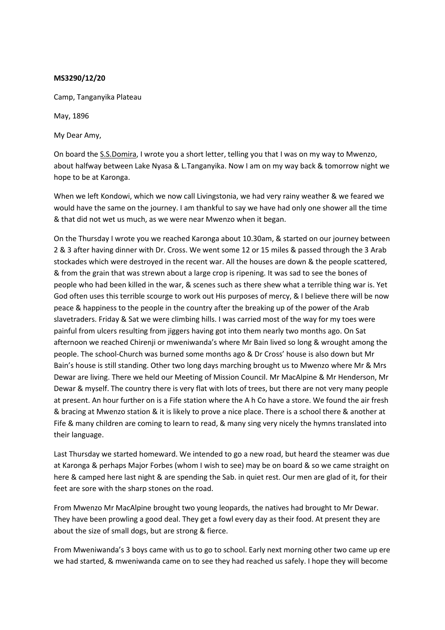Camp, Tanganyika Plateau

May, 1896

My Dear Amy,

On board the S.S.Domira, I wrote you a short letter, telling you that I was on my way to Mwenzo, about halfway between Lake Nyasa & L.Tanganyika. Now I am on my way back & tomorrow night we hope to be at Karonga.

When we left Kondowi, which we now call Livingstonia, we had very rainy weather & we feared we would have the same on the journey. I am thankful to say we have had only one shower all the time & that did not wet us much, as we were near Mwenzo when it began.

On the Thursday I wrote you we reached Karonga about 10.30am, & started on our journey between 2 & 3 after having dinner with Dr. Cross. We went some 12 or 15 miles & passed through the 3 Arab stockades which were destroyed in the recent war. All the houses are down & the people scattered, & from the grain that was strewn about a large crop is ripening. It was sad to see the bones of people who had been killed in the war, & scenes such as there shew what a terrible thing war is. Yet God often uses this terrible scourge to work out His purposes of mercy, & I believe there will be now peace & happiness to the people in the country after the breaking up of the power of the Arab slavetraders. Friday & Sat we were climbing hills. I was carried most of the way for my toes were painful from ulcers resulting from jiggers having got into them nearly two months ago. On Sat afternoon we reached Chirenji or mweniwanda's where Mr Bain lived so long & wrought among the people. The school-Church was burned some months ago & Dr Cross' house is also down but Mr Bain's house is still standing. Other two long days marching brought us to Mwenzo where Mr & Mrs Dewar are living. There we held our Meeting of Mission Council. Mr MacAlpine & Mr Henderson, Mr Dewar & myself. The country there is very flat with lots of trees, but there are not very many people at present. An hour further on is a Fife station where the A h Co have a store. We found the air fresh & bracing at Mwenzo station & it is likely to prove a nice place. There is a school there & another at Fife & many children are coming to learn to read, & many sing very nicely the hymns translated into their language.

Last Thursday we started homeward. We intended to go a new road, but heard the steamer was due at Karonga & perhaps Major Forbes (whom I wish to see) may be on board & so we came straight on here & camped here last night & are spending the Sab. in quiet rest. Our men are glad of it, for their feet are sore with the sharp stones on the road.

From Mwenzo Mr MacAlpine brought two young leopards, the natives had brought to Mr Dewar. They have been prowling a good deal. They get a fowl every day as their food. At present they are about the size of small dogs, but are strong & fierce.

From Mweniwanda's 3 boys came with us to go to school. Early next morning other two came up ere we had started, & mweniwanda came on to see they had reached us safely. I hope they will become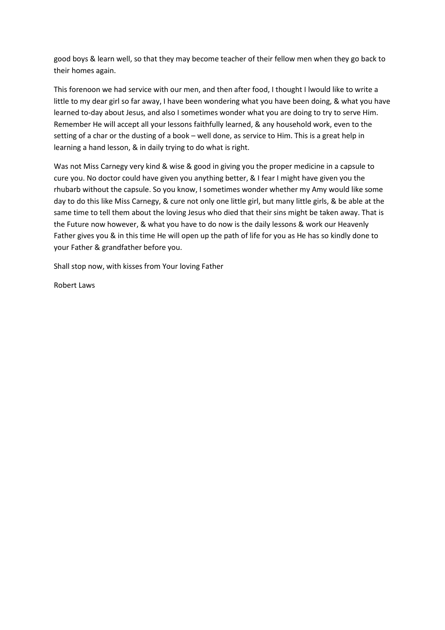good boys & learn well, so that they may become teacher of their fellow men when they go back to their homes again.

This forenoon we had service with our men, and then after food, I thought I lwould like to write a little to my dear girl so far away, I have been wondering what you have been doing, & what you have learned to-day about Jesus, and also I sometimes wonder what you are doing to try to serve Him. Remember He will accept all your lessons faithfully learned, & any household work, even to the setting of a char or the dusting of a book – well done, as service to Him. This is a great help in learning a hand lesson, & in daily trying to do what is right.

Was not Miss Carnegy very kind & wise & good in giving you the proper medicine in a capsule to cure you. No doctor could have given you anything better, & I fear I might have given you the rhubarb without the capsule. So you know, I sometimes wonder whether my Amy would like some day to do this like Miss Carnegy, & cure not only one little girl, but many little girls, & be able at the same time to tell them about the loving Jesus who died that their sins might be taken away. That is the Future now however, & what you have to do now is the daily lessons & work our Heavenly Father gives you & in this time He will open up the path of life for you as He has so kindly done to your Father & grandfather before you.

Shall stop now, with kisses from Your loving Father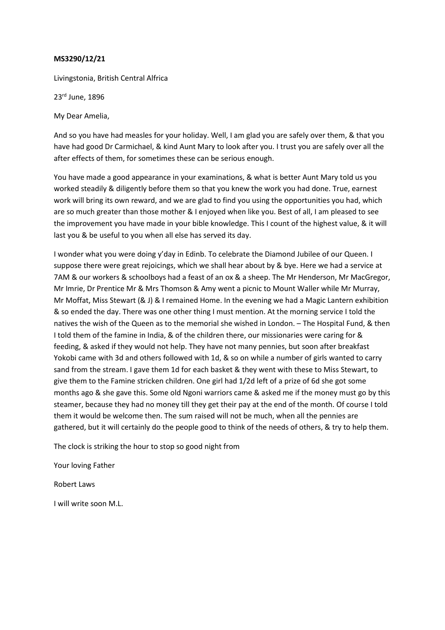Livingstonia, British Central Alfrica

23rd June, 1896

My Dear Amelia,

And so you have had measles for your holiday. Well, I am glad you are safely over them, & that you have had good Dr Carmichael, & kind Aunt Mary to look after you. I trust you are safely over all the after effects of them, for sometimes these can be serious enough.

You have made a good appearance in your examinations, & what is better Aunt Mary told us you worked steadily & diligently before them so that you knew the work you had done. True, earnest work will bring its own reward, and we are glad to find you using the opportunities you had, which are so much greater than those mother & I enjoyed when like you. Best of all, I am pleased to see the improvement you have made in your bible knowledge. This I count of the highest value, & it will last you & be useful to you when all else has served its day.

I wonder what you were doing y'day in Edinb. To celebrate the Diamond Jubilee of our Queen. I suppose there were great rejoicings, which we shall hear about by & bye. Here we had a service at 7AM & our workers & schoolboys had a feast of an ox & a sheep. The Mr Henderson, Mr MacGregor, Mr Imrie, Dr Prentice Mr & Mrs Thomson & Amy went a picnic to Mount Waller while Mr Murray, Mr Moffat, Miss Stewart (& J) & I remained Home. In the evening we had a Magic Lantern exhibition & so ended the day. There was one other thing I must mention. At the morning service I told the natives the wish of the Queen as to the memorial she wished in London. – The Hospital Fund, & then I told them of the famine in India, & of the children there, our missionaries were caring for & feeding, & asked if they would not help. They have not many pennies, but soon after breakfast Yokobi came with 3d and others followed with 1d, & so on while a number of girls wanted to carry sand from the stream. I gave them 1d for each basket & they went with these to Miss Stewart, to give them to the Famine stricken children. One girl had 1/2d left of a prize of 6d she got some months ago & she gave this. Some old Ngoni warriors came & asked me if the money must go by this steamer, because they had no money till they get their pay at the end of the month. Of course I told them it would be welcome then. The sum raised will not be much, when all the pennies are gathered, but it will certainly do the people good to think of the needs of others, & try to help them.

The clock is striking the hour to stop so good night from

Your loving Father

Robert Laws

I will write soon M.L.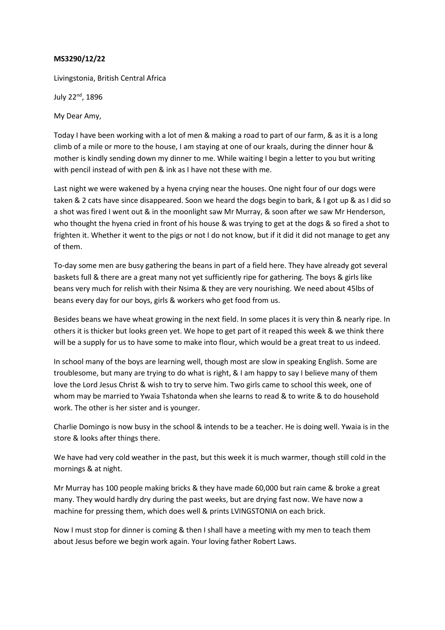Livingstonia, British Central Africa

July 22<sup>nd</sup>, 1896

My Dear Amy,

Today I have been working with a lot of men & making a road to part of our farm, & as it is a long climb of a mile or more to the house, I am staying at one of our kraals, during the dinner hour & mother is kindly sending down my dinner to me. While waiting I begin a letter to you but writing with pencil instead of with pen & ink as I have not these with me.

Last night we were wakened by a hyena crying near the houses. One night four of our dogs were taken & 2 cats have since disappeared. Soon we heard the dogs begin to bark, & I got up & as I did so a shot was fired I went out & in the moonlight saw Mr Murray, & soon after we saw Mr Henderson, who thought the hyena cried in front of his house & was trying to get at the dogs & so fired a shot to frighten it. Whether it went to the pigs or not I do not know, but if it did it did not manage to get any of them.

To-day some men are busy gathering the beans in part of a field here. They have already got several baskets full & there are a great many not yet sufficiently ripe for gathering. The boys & girls like beans very much for relish with their Nsima & they are very nourishing. We need about 45lbs of beans every day for our boys, girls & workers who get food from us.

Besides beans we have wheat growing in the next field. In some places it is very thin & nearly ripe. In others it is thicker but looks green yet. We hope to get part of it reaped this week & we think there will be a supply for us to have some to make into flour, which would be a great treat to us indeed.

In school many of the boys are learning well, though most are slow in speaking English. Some are troublesome, but many are trying to do what is right, & I am happy to say I believe many of them love the Lord Jesus Christ & wish to try to serve him. Two girls came to school this week, one of whom may be married to Ywaia Tshatonda when she learns to read & to write & to do household work. The other is her sister and is younger.

Charlie Domingo is now busy in the school & intends to be a teacher. He is doing well. Ywaia is in the store & looks after things there.

We have had very cold weather in the past, but this week it is much warmer, though still cold in the mornings & at night.

Mr Murray has 100 people making bricks & they have made 60,000 but rain came & broke a great many. They would hardly dry during the past weeks, but are drying fast now. We have now a machine for pressing them, which does well & prints LVINGSTONIA on each brick.

Now I must stop for dinner is coming & then I shall have a meeting with my men to teach them about Jesus before we begin work again. Your loving father Robert Laws.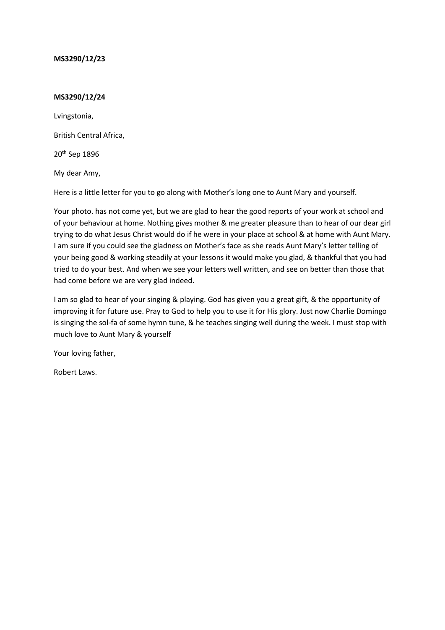# **MS3290/12/24**

Lvingstonia,

British Central Africa,

20th Sep 1896

My dear Amy,

Here is a little letter for you to go along with Mother's long one to Aunt Mary and yourself.

Your photo. has not come yet, but we are glad to hear the good reports of your work at school and of your behaviour at home. Nothing gives mother & me greater pleasure than to hear of our dear girl trying to do what Jesus Christ would do if he were in your place at school & at home with Aunt Mary. I am sure if you could see the gladness on Mother's face as she reads Aunt Mary's letter telling of your being good & working steadily at your lessons it would make you glad, & thankful that you had tried to do your best. And when we see your letters well written, and see on better than those that had come before we are very glad indeed.

I am so glad to hear of your singing & playing. God has given you a great gift, & the opportunity of improving it for future use. Pray to God to help you to use it for His glory. Just now Charlie Domingo is singing the sol-fa of some hymn tune, & he teaches singing well during the week. I must stop with much love to Aunt Mary & yourself

Your loving father,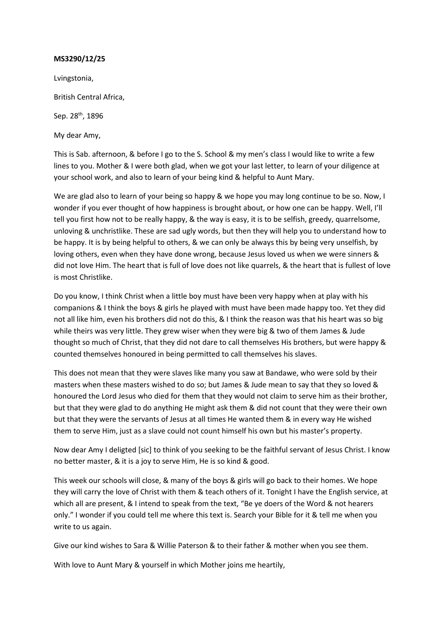Lvingstonia,

British Central Africa,

Sep. 28th, 1896

My dear Amy,

This is Sab. afternoon, & before I go to the S. School & my men's class I would like to write a few lines to you. Mother & I were both glad, when we got your last letter, to learn of your diligence at your school work, and also to learn of your being kind & helpful to Aunt Mary.

We are glad also to learn of your being so happy & we hope you may long continue to be so. Now, I wonder if you ever thought of how happiness is brought about, or how one can be happy. Well, I'll tell you first how not to be really happy, & the way is easy, it is to be selfish, greedy, quarrelsome, unloving & unchristlike. These are sad ugly words, but then they will help you to understand how to be happy. It is by being helpful to others, & we can only be always this by being very unselfish, by loving others, even when they have done wrong, because Jesus loved us when we were sinners & did not love Him. The heart that is full of love does not like quarrels, & the heart that is fullest of love is most Christlike.

Do you know, I think Christ when a little boy must have been very happy when at play with his companions & I think the boys & girls he played with must have been made happy too. Yet they did not all like him, even his brothers did not do this, & I think the reason was that his heart was so big while theirs was very little. They grew wiser when they were big & two of them James & Jude thought so much of Christ, that they did not dare to call themselves His brothers, but were happy & counted themselves honoured in being permitted to call themselves his slaves.

This does not mean that they were slaves like many you saw at Bandawe, who were sold by their masters when these masters wished to do so; but James & Jude mean to say that they so loved & honoured the Lord Jesus who died for them that they would not claim to serve him as their brother, but that they were glad to do anything He might ask them & did not count that they were their own but that they were the servants of Jesus at all times He wanted them & in every way He wished them to serve Him, just as a slave could not count himself his own but his master's property.

Now dear Amy I deligted [sic] to think of you seeking to be the faithful servant of Jesus Christ. I know no better master, & it is a joy to serve Him, He is so kind & good.

This week our schools will close, & many of the boys & girls will go back to their homes. We hope they will carry the love of Christ with them & teach others of it. Tonight I have the English service, at which all are present, & I intend to speak from the text, "Be ye doers of the Word & not hearers only." I wonder if you could tell me where this text is. Search your Bible for it & tell me when you write to us again.

Give our kind wishes to Sara & Willie Paterson & to their father & mother when you see them.

With love to Aunt Mary & yourself in which Mother joins me heartily,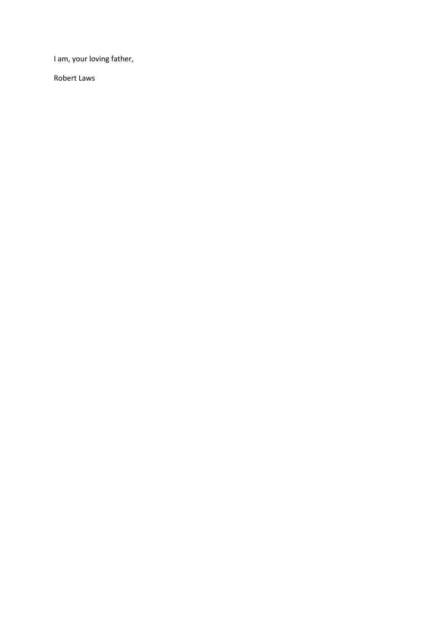I am, your loving father,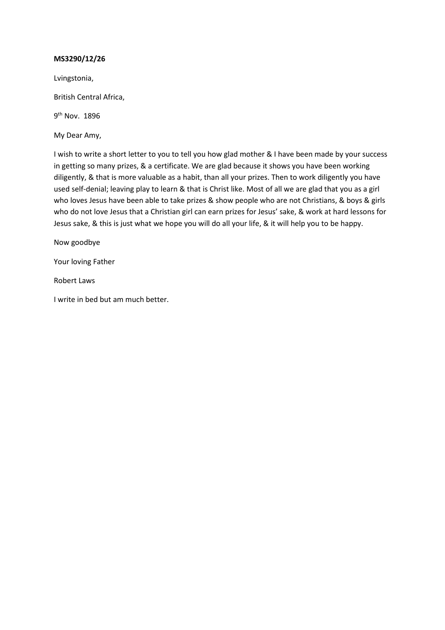Lvingstonia,

British Central Africa,

9<sup>th</sup> Nov. 1896

My Dear Amy,

I wish to write a short letter to you to tell you how glad mother & I have been made by your success in getting so many prizes, & a certificate. We are glad because it shows you have been working diligently, & that is more valuable as a habit, than all your prizes. Then to work diligently you have used self-denial; leaving play to learn & that is Christ like. Most of all we are glad that you as a girl who loves Jesus have been able to take prizes & show people who are not Christians, & boys & girls who do not love Jesus that a Christian girl can earn prizes for Jesus' sake, & work at hard lessons for Jesus sake, & this is just what we hope you will do all your life, & it will help you to be happy.

Now goodbye

Your loving Father

Robert Laws

I write in bed but am much better.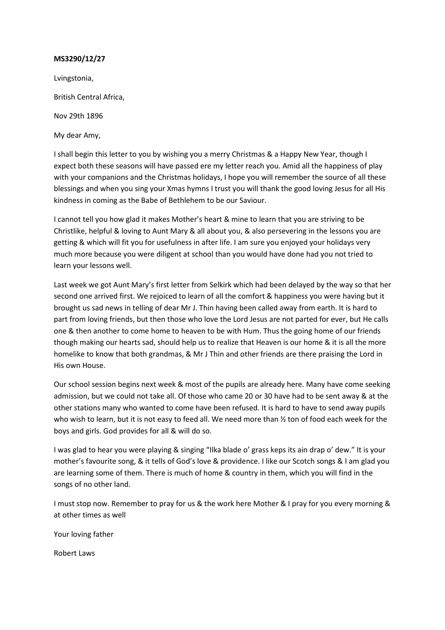Lvingstonia,

British Central Africa,

Nov 29th 1896

My dear Amy,

I shall begin this letter to you by wishing you a merry Christmas & a Happy New Year, though I expect both these seasons will have passed ere my letter reach you. Amid all the happiness of play with your companions and the Christmas holidays, I hope you will remember the source of all these blessings and when you sing your Xmas hymns I trust you will thank the good loving Jesus for all His kindness in coming as the Babe of Bethlehem to be our Saviour.

I cannot tell you how glad it makes Mother's heart & mine to learn that you are striving to be Christlike, helpful & loving to Aunt Mary & all about you, & also persevering in the lessons you are getting & which will fit you for usefulness in after life. I am sure you enjoyed your holidays very much more because you were diligent at school than you would have done had you not tried to learn your lessons well.

Last week we got Aunt Mary's first letter from Selkirk which had been delayed by the way so that her second one arrived first. We rejoiced to learn of all the comfort & happiness you were having but it brought us sad news in telling of dear Mr J. Thin having been called away from earth. It is hard to part from loving friends, but then those who love the Lord Jesus are not parted for ever, but He calls one & then another to come home to heaven to be with Hum. Thus the going home of our friends though making our hearts sad, should help us to realize that Heaven is our home & it is all the more homelike to know that both grandmas, & Mr J Thin and other friends are there praising the Lord in His own House.

Our school session begins next week & most of the pupils are already here. Many have come seeking admission, but we could not take all. Of those who came 20 or 30 have had to be sent away & at the other stations many who wanted to come have been refused. It is hard to have to send away pupils who wish to learn, but it is not easy to feed all. We need more than  $\frac{1}{2}$  ton of food each week for the boys and girls. God provides for all & will do so.

I was glad to hear you were playing & singing "Ilka blade o' grass keps its ain drap o' dew." It is your mother's favourite song, & it tells of God's love & providence. I like our Scotch songs & I am glad you are learning some of them. There is much of home & country in them, which you will find in the songs of no other land.

I must stop now. Remember to pray for us & the work here Mother & I pray for you every morning & at other times as well

Your loving father